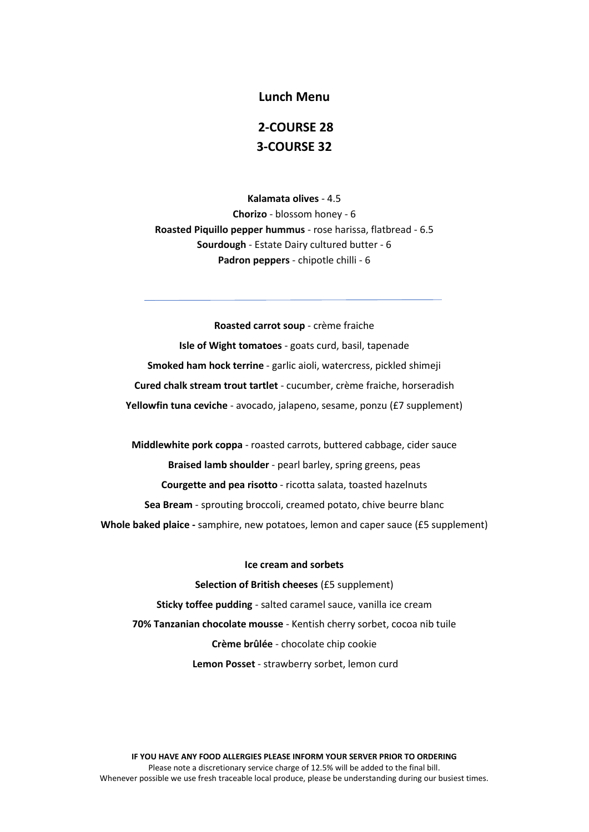#### **Lunch Menu**

# **2-COURSE 28 3-COURSE 32**

**Kalamata olives** - 4.5 **Chorizo** - blossom honey - 6 **Roasted Piquillo pepper hummus** - rose harissa, flatbread - 6.5 **Sourdough** - Estate Dairy cultured butter - 6 **Padron peppers** - chipotle chilli - 6

**Roasted carrot soup** - crème fraiche **Isle of Wight tomatoes** - goats curd, basil, tapenade **Smoked ham hock terrine** - garlic aioli, watercress, pickled shimeji **Cured chalk stream trout tartlet** - cucumber, crème fraiche, horseradish **Yellowfin tuna ceviche** - avocado, jalapeno, sesame, ponzu (£7 supplement)

**Middlewhite pork coppa** - roasted carrots, buttered cabbage, cider sauce **Braised lamb shoulder** - pearl barley, spring greens, peas **Courgette and pea risotto** - ricotta salata, toasted hazelnuts **Sea Bream** - sprouting broccoli, creamed potato, chive beurre blanc **Whole baked plaice -** samphire, new potatoes, lemon and caper sauce (£5 supplement)

#### **Ice cream and sorbets**

**Selection of British cheeses** (£5 supplement) **Sticky toffee pudding** - salted caramel sauce, vanilla ice cream **70% Tanzanian chocolate mousse** - Kentish cherry sorbet, cocoa nib tuile **Crème brûlée** - chocolate chip cookie **Lemon Posset** - strawberry sorbet, lemon curd

**IF YOU HAVE ANY FOOD ALLERGIES PLEASE INFORM YOUR SERVER PRIOR TO ORDERING** Please note a discretionary service charge of 12.5% will be added to the final bill. Whenever possible we use fresh traceable local produce, please be understanding during our busiest times.